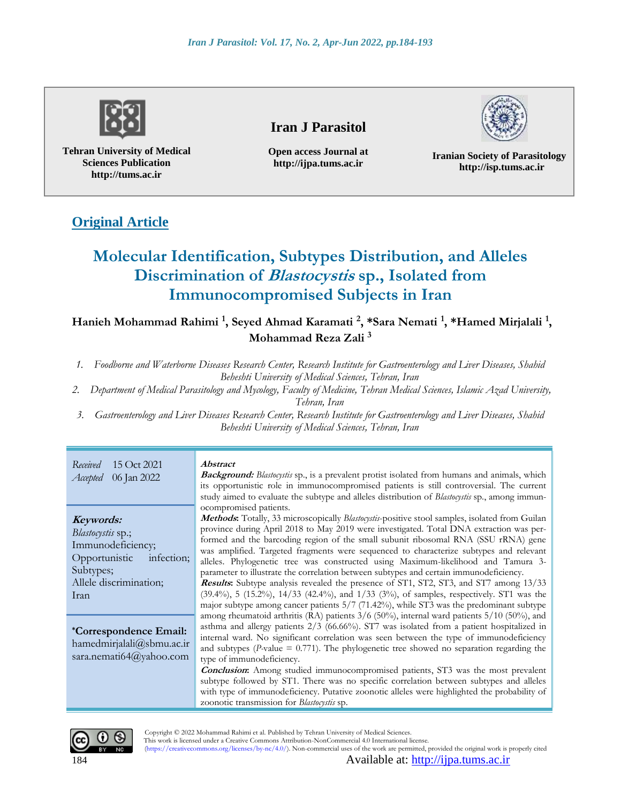

**Tehran University of Medical Sciences Publication http://tums.ac.ir**

# **Iran J Parasitol**

**Open access Journal at http://ijpa.tums.ac.ir**

**Iranian Society of Parasitology http://isp.tums.ac.ir**

# **Original Article**

# **Molecular Identification, Subtypes Distribution, and Alleles Discrimination of Blastocystis sp., Isolated from Immunocompromised Subjects in Iran**

 $\mu$  Hanieh Mohammad Rahimi <sup>1</sup>, Seyed Ahmad Karamati <sup>2</sup>, \*Sara Nemati <sup>1</sup>, \*Hamed Mirjalali <sup>1</sup>, **Mohammad Reza Zali <sup>3</sup>**

- *1. Foodborne and Waterborne Diseases Research Center, Research Institute for Gastroenterology and Liver Diseases, Shahid Beheshti University of Medical Sciences, Tehran, Iran*
- *2. Department of Medical Parasitology and Mycology, Faculty of Medicine, Tehran Medical Sciences, Islamic Azad University, Tehran, Iran*
- *3. Gastroenterology and Liver Diseases Research Center, Research Institute for Gastroenterology and Liver Diseases, Shahid Beheshti University of Medical Sciences, Tehran, Iran*

*Received* 15 Oct 2021 *Accepted* 06 Jan 2022 **Abstract Background:** *Blastocystis* sp., is a prevalent protist isolated from humans and animals, which its opportunistic role in immunocompromised patients is still controversial. The current study aimed to evaluate the subtype and alleles distribution of *Blastocystis* sp., among immunocompromised patients. **Methods:** Totally, 33 microscopically *Blastocystis*-positive stool samples, isolated from Guilan province during April 2018 to May 2019 were investigated. Total DNA extraction was performed and the barcoding region of the small subunit ribosomal RNA (SSU rRNA) gene was amplified. Targeted fragments were sequenced to characterize subtypes and relevant alleles. Phylogenetic tree was constructed using Maximum-likelihood and Tamura 3 parameter to illustrate the correlation between subtypes and certain immunodeficiency. **Results:** Subtype analysis revealed the presence of ST1, ST2, ST3, and ST7 among 13/33 (39.4%), 5 (15.2%), 14/33 (42.4%), and 1/33 (3%), of samples, respectively. ST1 was the major subtype among cancer patients 5/7 (71.42%), while ST3 was the predominant subtype among rheumatoid arthritis (RA) patients 3/6 (50%), internal ward patients 5/10 (50%), and **Keywords:** *Blastocystis* sp.; Immunodeficiency; Opportunistic infection; Subtypes; Allele discrimination;

asthma and allergy patients 2/3 (66.66%). ST7 was isolated from a patient hospitalized in internal ward. No significant correlation was seen between the type of immunodeficiency and subtypes ( $P$ -value =  $0.771$ ). The phylogenetic tree showed no separation regarding the type of immunodeficiency. **\*Correspondence Email:** [hamedmirjalali@sbmu.ac.ir](mailto:hamedmirjalali@sbmu.ac.ir) [sara.nemati64@yahoo.com](file:///E:/گوارش%20و%20کبد/SUBMITED/Korean%20BLAST/Microb%20Pathog/sara.nemati64@yahoo.com)

**Conclusion:** Among studied immunocompromised patients, ST3 was the most prevalent subtype followed by ST1. There was no specific correlation between subtypes and alleles with type of immunodeficiency. Putative zoonotic alleles were highlighted the probability of zoonotic transmission for *Blastocystis* sp.



Iran

 Copyright © 2022 Mohammad Rahimi et al. Published by Tehran University of Medical Sciences. This work is licensed under a Creative Commons Attribution-NonCommercial 4.0 International license. (https://creativecommons.org/licenses/by-nc/4.0/). Non-commercial uses of the work are permitted, provided the original work is properly cited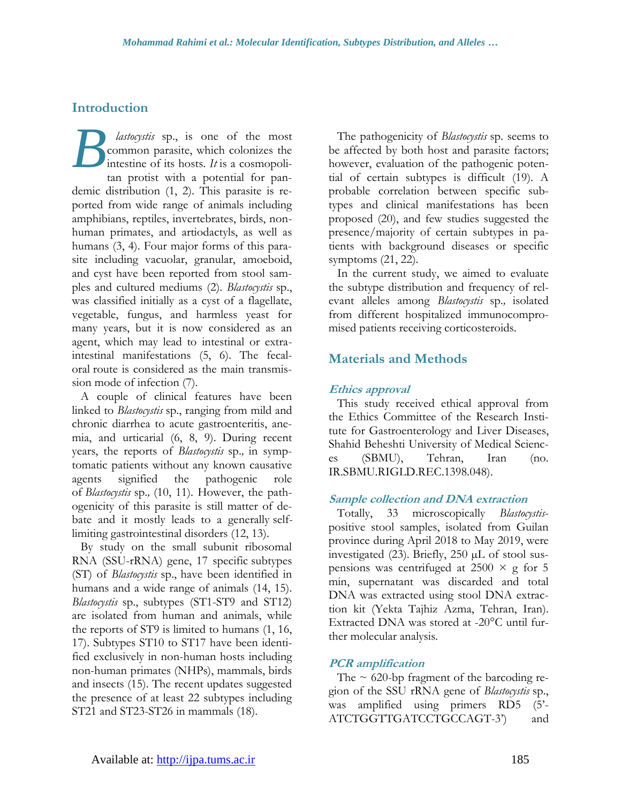# **Introduction**

*lastocystis* sp., is one of the most common parasite, which colonizes the intestine of its hosts. *It* is a cosmopolitan protist with a potential for pandemic distribution (1, 2). This parasite is reported from wide range of animals including amphibians, reptiles, invertebrates, birds, nonhuman primates, and artiodactyls, as well as humans (3, 4). Four major forms of this parasite including vacuolar, granular, amoeboid, and cyst have been reported from stool samples and cultured mediums (2). *Blastocystis* sp., was classified initially as a cyst of a flagellate, vegetable, fungus, and harmless yeast for many years, but it is now considered as an agent, which may lead to intestinal or extraintestinal manifestations (5, 6). The fecaloral route is considered as the main transmission mode of infection (7). *B*

A couple of clinical features have been linked to *Blastocystis* sp., ranging from mild and chronic diarrhea to acute gastroenteritis, anemia, and urticarial (6, 8, 9). During recent years, the reports of *Blastocystis* sp.*,* in symptomatic patients without any known causative agents signified the pathogenic role of *Blastocystis* sp.*,* (10, 11). However, the pathogenicity of this parasite is still matter of debate and it mostly leads to a generally selflimiting gastrointestinal disorders (12, 13).

By study on the small subunit ribosomal RNA (SSU-rRNA) gene, 17 specific subtypes (ST) of *Blastocystis* sp., have been identified in humans and a wide range of animals (14, 15). *Blastocystis* sp., subtypes (ST1-ST9 and ST12) are isolated from human and animals, while the reports of ST9 is limited to humans (1, 16, 17). Subtypes ST10 to ST17 have been identified exclusively in non-human hosts including non-human primates (NHPs), mammals, birds and insects (15). The recent updates suggested the presence of at least 22 subtypes including ST21 and ST23-ST26 in mammals (18).

The pathogenicity of *Blastocystis* sp. seems to be affected by both host and parasite factors; however, evaluation of the pathogenic potential of certain subtypes is difficult (19). A probable correlation between specific subtypes and clinical manifestations has been proposed (20), and few studies suggested the presence/majority of certain subtypes in patients with background diseases or specific symptoms (21, 22).

In the current study, we aimed to evaluate the subtype distribution and frequency of relevant alleles among *Blastocystis* sp.*,* isolated from different hospitalized immunocompromised patients receiving corticosteroids.

# **Materials and Methods**

### **Ethics approval**

This study received ethical approval from the Ethics Committee of the Research Institute for Gastroenterology and Liver Diseases, Shahid Beheshti University of Medical Sciences (SBMU), Tehran, Iran (no. IR.SBMU.RIGLD.REC.1398.048).

#### **Sample collection and DNA extraction**

Totally, 33 microscopically *Blastocystis*positive stool samples, isolated from Guilan province during April 2018 to May 2019, were investigated (23). Briefly, 250 µL of stool suspensions was centrifuged at  $2500 \times g$  for 5 min, supernatant was discarded and total DNA was extracted using stool DNA extraction kit (Yekta Tajhiz Azma, Tehran, Iran). Extracted DNA was stored at -20°C until further molecular analysis.

### **PCR amplification**

The  $\sim$  620-bp fragment of the barcoding region of the SSU rRNA gene of *Blastocystis* sp., was amplified using primers RD5 (5'- ATCTGGTTGATCCTGCCAGT-3') and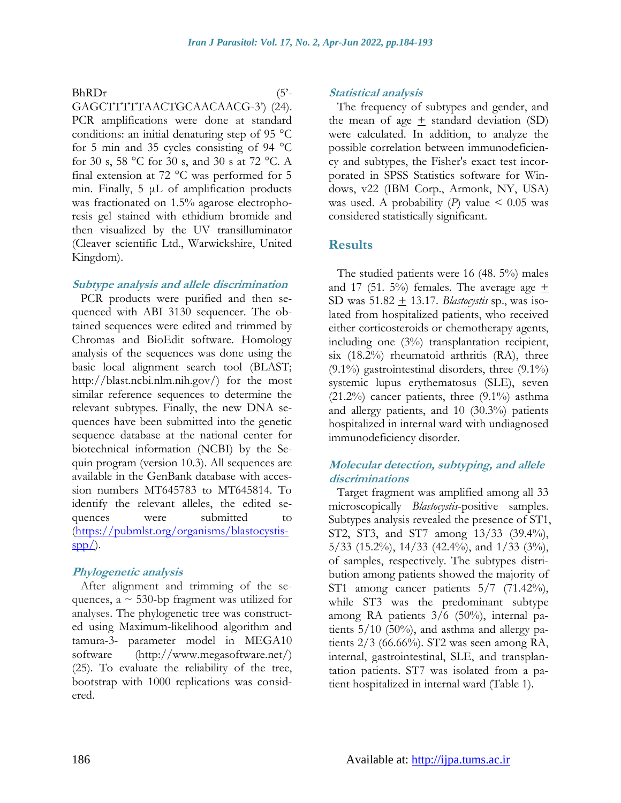#### BhRDr (5'-

GAGCTTTTTAACTGCAACAACG-3') (24). PCR amplifications were done at standard conditions: an initial denaturing step of 95 °C for 5 min and 35 cycles consisting of 94 °C for 30 s, 58 °C for 30 s, and 30 s at 72 °C. A final extension at 72 °C was performed for 5 min. Finally, 5 μL of amplification products was fractionated on 1.5% agarose electrophoresis gel stained with ethidium bromide and then visualized by the UV transilluminator (Cleaver scientific Ltd., Warwickshire, United Kingdom).

#### **Subtype analysis and allele discrimination**

PCR products were purified and then sequenced with ABI 3130 sequencer. The obtained sequences were edited and trimmed by Chromas and BioEdit software. Homology analysis of the sequences was done using the basic local alignment search tool (BLAST; [http://blast.ncbi.nlm.nih.gov/\)](http://blast.ncbi.nlm.nih.gov/) for the most similar reference sequences to determine the relevant subtypes. Finally, the new DNA sequences have been submitted into the genetic sequence database at the national center for biotechnical information (NCBI) by the Sequin program (version 10.3). All sequences are available in the GenBank database with accession numbers MT645783 to MT645814. To identify the relevant alleles, the edited sequences were submitted to [\(https://pubmlst.org/organisms/blastocystis](https://pubmlst.org/organisms/blastocystis-spp/) $spp/$ ).

#### **Phylogenetic analysis**

After alignment and trimming of the sequences,  $a \sim 530$ -bp fragment was utilized for analyses. The phylogenetic tree was constructed using Maximum-likelihood algorithm and tamura-3- parameter model in MEGA10 software [\(http://www.megasoftware.net/\)](http://www.megasoftware.net/) (25). To evaluate the reliability of the tree, bootstrap with 1000 replications was considered.

#### **Statistical analysis**

The frequency of subtypes and gender, and the mean of age  $\pm$  standard deviation (SD) were calculated. In addition, to analyze the possible correlation between immunodeficiency and subtypes, the Fisher's exact test incorporated in SPSS Statistics software for Windows, v22 (IBM Corp., Armonk, NY, USA) was used. A probability  $(P)$  value  $\leq 0.05$  was considered statistically significant.

### **Results**

The studied patients were 16 (48. 5%) males and 17 (51. 5%) females. The average age  $\pm$ SD was 51.82 + 13.17. *Blastocystis* sp., was isolated from hospitalized patients, who received either corticosteroids or chemotherapy agents, including one (3%) transplantation recipient, six (18.2%) rheumatoid arthritis (RA), three  $(9.1\%)$  gastrointestinal disorders, three  $(9.1\%)$ systemic lupus erythematosus (SLE), seven  $(21.2\%)$  cancer patients, three  $(9.1\%)$  asthma and allergy patients, and 10 (30.3%) patients hospitalized in internal ward with undiagnosed immunodeficiency disorder.

#### **Molecular detection, subtyping, and allele discriminations**

Target fragment was amplified among all 33 microscopically *Blastocystis*-positive samples. Subtypes analysis revealed the presence of ST1, ST2, ST3, and ST7 among 13/33 (39.4%),  $5/33$  (15.2%), 14/33 (42.4%), and  $1/33$  (3%), of samples, respectively. The subtypes distribution among patients showed the majority of ST1 among cancer patients  $5/7$  (71.42%), while ST3 was the predominant subtype among RA patients 3/6 (50%), internal patients  $5/10$  (50%), and asthma and allergy patients 2/3 (66.66%). ST2 was seen among RA, internal, gastrointestinal, SLE, and transplantation patients. ST7 was isolated from a patient hospitalized in internal ward (Table 1).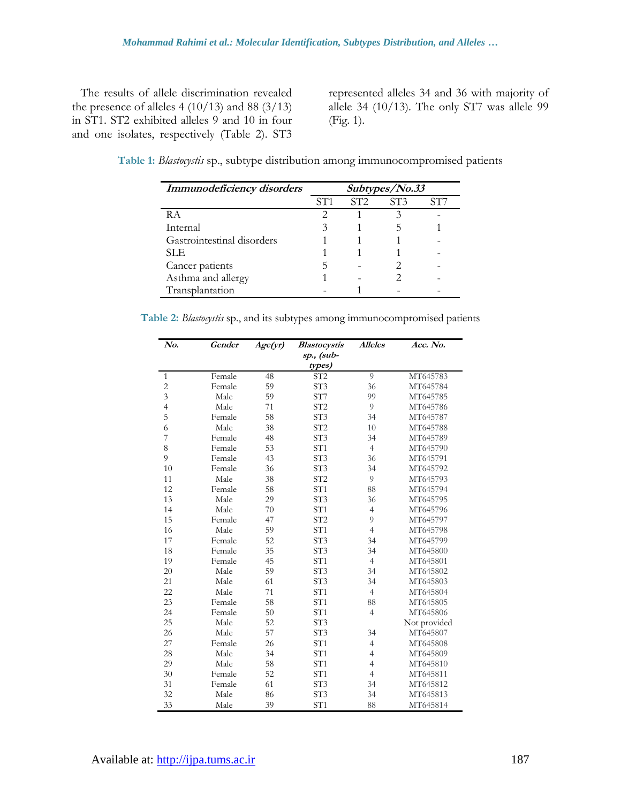The results of allele discrimination revealed the presence of alleles 4  $(10/13)$  and 88  $(3/13)$ in ST1. ST2 exhibited alleles 9 and 10 in four and one isolates, respectively (Table 2). ST3

represented alleles 34 and 36 with majority of allele 34 (10/13). The only ST7 was allele 99 (Fig. 1).

**Table 1:** *Blastocystis* sp., subtype distribution among immunocompromised patients

| Immunodeficiency disorders | Subtypes/No.33 |     |     |     |  |
|----------------------------|----------------|-----|-----|-----|--|
|                            | ST1            | ST2 | ST3 | ST7 |  |
| R A                        |                |     |     |     |  |
| Internal                   |                |     |     |     |  |
| Gastrointestinal disorders |                |     |     |     |  |
| SLE.                       |                |     |     |     |  |
| Cancer patients            |                |     |     |     |  |
| Asthma and allergy         |                |     |     |     |  |
| Transplantation            |                |     |     |     |  |

**Table 2:** *Blastocystis* sp., and its subtypes among immunocompromised patients

| No.            | <b>Gender</b> | Age(yr) | <b>Blastocystis</b> | <b>Alleles</b> | Acc. No.     |
|----------------|---------------|---------|---------------------|----------------|--------------|
|                |               |         | sp., (sub-          |                |              |
|                |               |         | types)              |                |              |
| $\mathbf{1}$   | Female        | 48      | ST <sub>2</sub>     | 9              | MT645783     |
| $\overline{c}$ | Female        | 59      | ST3                 | 36             | MT645784     |
| 3              | Male          | 59      | ST7                 | 99             | MT645785     |
| $\overline{4}$ | Male          | 71      | ST <sub>2</sub>     | 9              | MT645786     |
| 5              | Female        | 58      | ST3                 | 34             | MT645787     |
| 6              | Male          | 38      | ST <sub>2</sub>     | 10             | MT645788     |
| 7              | Female        | 48      | ST3                 | 34             | MT645789     |
| 8              | Female        | 53      | ST <sub>1</sub>     | $\overline{4}$ | MT645790     |
| 9              | Female        | 43      | ST <sub>3</sub>     | 36             | MT645791     |
| 10             | Female        | 36      | ST <sub>3</sub>     | 34             | MT645792     |
| 11             | Male          | 38      | ST <sub>2</sub>     | 9              | MT645793     |
| 12             | Female        | 58      | ST1                 | 88             | MT645794     |
| 13             | Male          | 29      | ST <sub>3</sub>     | 36             | MT645795     |
| 14             | Male          | 70      | ST1                 | $\overline{4}$ | MT645796     |
| 15             | Female        | 47      | ST <sub>2</sub>     | 9              | MT645797     |
| 16             | Male          | 59      | ST <sub>1</sub>     | $\overline{4}$ | MT645798     |
| 17             | Female        | 52      | ST <sub>3</sub>     | 34             | MT645799     |
| 18             | Female        | 35      | ST <sub>3</sub>     | 34             | MT645800     |
| 19             | Female        | 45      | ST <sub>1</sub>     | $\overline{4}$ | MT645801     |
| 20             | Male          | 59      | ST <sub>3</sub>     | 34             | MT645802     |
| 21             | Male          | 61      | ST <sub>3</sub>     | 34             | MT645803     |
| 22             | Male          | 71      | ST <sub>1</sub>     | $\overline{4}$ | MT645804     |
| 23             | Female        | 58      | ST <sub>1</sub>     | 88             | MT645805     |
| 24             | Female        | 50      | ST <sub>1</sub>     | $\overline{4}$ | MT645806     |
| 25             | Male          | 52      | ST <sub>3</sub>     |                | Not provided |
| 26             | Male          | 57      | ST3                 | 34             | MT645807     |
| 27             | Female        | 26      | ST1                 | $\overline{4}$ | MT645808     |
| 28             | Male          | 34      | ST <sub>1</sub>     | $\overline{4}$ | MT645809     |
| 29             | Male          | 58      | ST <sub>1</sub>     | $\overline{4}$ | MT645810     |
| 30             | Female        | 52      | ST <sub>1</sub>     | $\overline{4}$ | MT645811     |
| 31             | Female        | 61      | ST <sub>3</sub>     | 34             | MT645812     |
| 32             | Male          | 86      | ST <sub>3</sub>     | 34             | MT645813     |
| 33             | Male          | 39      | ST <sub>1</sub>     | 88             | MT645814     |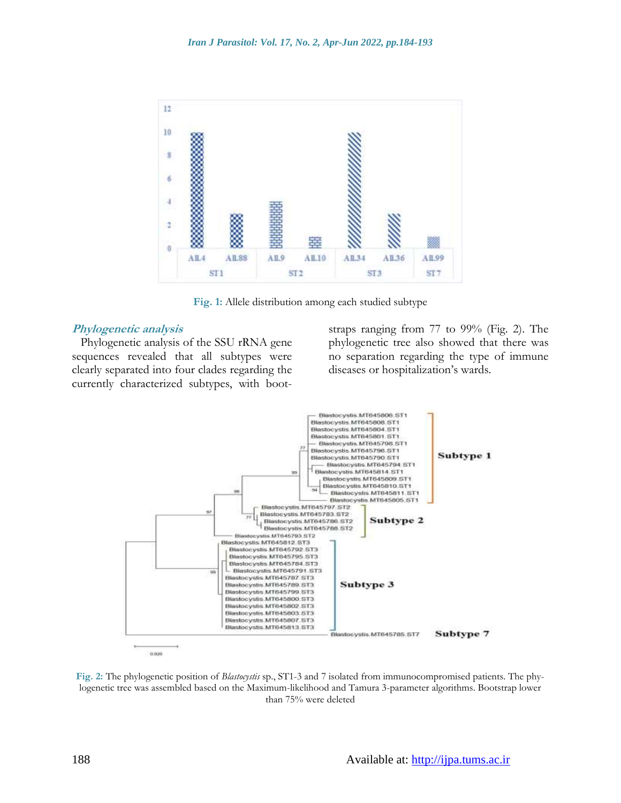

**Fig. 1:** Allele distribution among each studied subtype

#### **Phylogenetic analysis**

Phylogenetic analysis of the SSU rRNA gene sequences revealed that all subtypes were clearly separated into four clades regarding the currently characterized subtypes, with bootstraps ranging from 77 to 99% (Fig. 2). The phylogenetic tree also showed that there was no separation regarding the type of immune diseases or hospitalization's wards.



**Fig. 2:** The phylogenetic position of *Blastocystis* sp., ST1-3 and 7 isolated from immunocompromised patients. The phylogenetic tree was assembled based on the Maximum-likelihood and Tamura 3-parameter algorithms. Bootstrap lower than 75% were deleted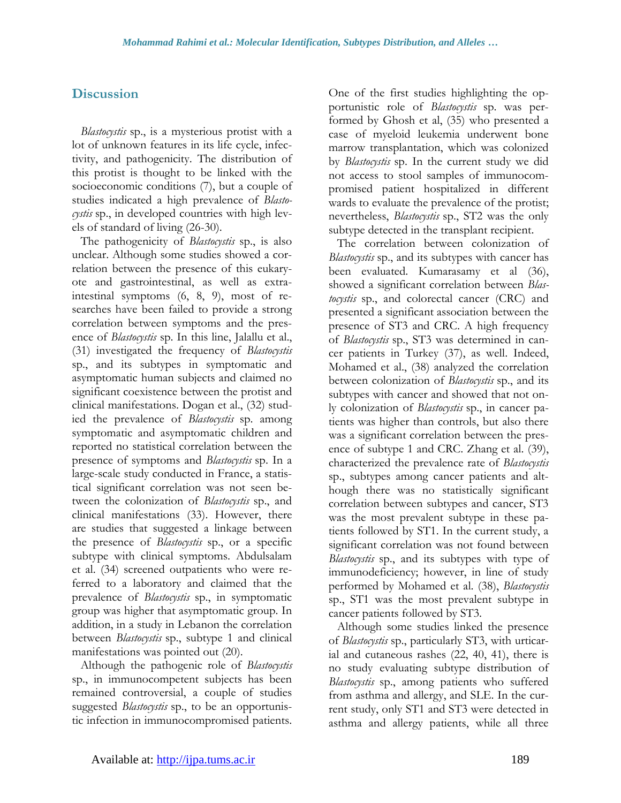# **Discussion**

*Blastocystis* sp., is a mysterious protist with a lot of unknown features in its life cycle, infectivity, and pathogenicity. The distribution of this protist is thought to be linked with the socioeconomic conditions (7), but a couple of studies indicated a high prevalence of *Blastocystis* sp., in developed countries with high levels of standard of living (26-30).

The pathogenicity of *Blastocystis* sp., is also unclear. Although some studies showed a correlation between the presence of this eukaryote and gastrointestinal, as well as extraintestinal symptoms (6, 8, 9), most of researches have been failed to provide a strong correlation between symptoms and the presence of *Blastocystis* sp. In this line, Jalallu et al., (31) investigated the frequency of *Blastocystis*  sp., and its subtypes in symptomatic and asymptomatic human subjects and claimed no significant coexistence between the protist and clinical manifestations. Dogan et al., (32) studied the prevalence of *Blastocystis* sp. among symptomatic and asymptomatic children and reported no statistical correlation between the presence of symptoms and *Blastocystis* sp. In a large-scale study conducted in France, a statistical significant correlation was not seen between the colonization of *Blastocystis* sp., and clinical manifestations (33). However, there are studies that suggested a linkage between the presence of *Blastocystis* sp., or a specific subtype with clinical symptoms. Abdulsalam et al. (34) screened outpatients who were referred to a laboratory and claimed that the prevalence of *Blastocystis* sp., in symptomatic group was higher that asymptomatic group. In addition, in a study in Lebanon the correlation between *Blastocystis* sp., subtype 1 and clinical manifestations was pointed out (20).

Although the pathogenic role of *Blastocystis*  sp., in immunocompetent subjects has been remained controversial, a couple of studies suggested *Blastocystis* sp., to be an opportunistic infection in immunocompromised patients.

One of the first studies highlighting the opportunistic role of *Blastocystis* sp. was performed by Ghosh et al,  $(35)$  who presented a case of myeloid leukemia underwent bone marrow transplantation, which was colonized by *Blastocystis* sp. In the current study we did not access to stool samples of immunocompromised patient hospitalized in different wards to evaluate the prevalence of the protist; nevertheless, *Blastocystis* sp., ST2 was the only subtype detected in the transplant recipient.

The correlation between colonization of *Blastocystis* sp., and its subtypes with cancer has been evaluated. Kumarasamy et al (36), showed a significant correlation between *Blastocystis* sp., and colorectal cancer (CRC) and presented a significant association between the presence of ST3 and CRC. A high frequency of *Blastocystis* sp., ST3 was determined in cancer patients in Turkey (37), as well. Indeed, Mohamed et al., (38) analyzed the correlation between colonization of *Blastocystis* sp., and its subtypes with cancer and showed that not only colonization of *Blastocystis* sp., in cancer patients was higher than controls, but also there was a significant correlation between the presence of subtype 1 and CRC. Zhang et al. (39), characterized the prevalence rate of *Blastocystis*  sp., subtypes among cancer patients and although there was no statistically significant correlation between subtypes and cancer, ST3 was the most prevalent subtype in these patients followed by ST1. In the current study, a significant correlation was not found between *Blastocystis* sp., and its subtypes with type of immunodeficiency; however, in line of study performed by Mohamed et al. (38), *Blastocystis*  sp., ST1 was the most prevalent subtype in cancer patients followed by ST3.

Although some studies linked the presence of *Blastocystis* sp., particularly ST3, with urticarial and cutaneous rashes (22, 40, 41), there is no study evaluating subtype distribution of *Blastocystis* sp., among patients who suffered from asthma and allergy, and SLE. In the current study, only ST1 and ST3 were detected in asthma and allergy patients, while all three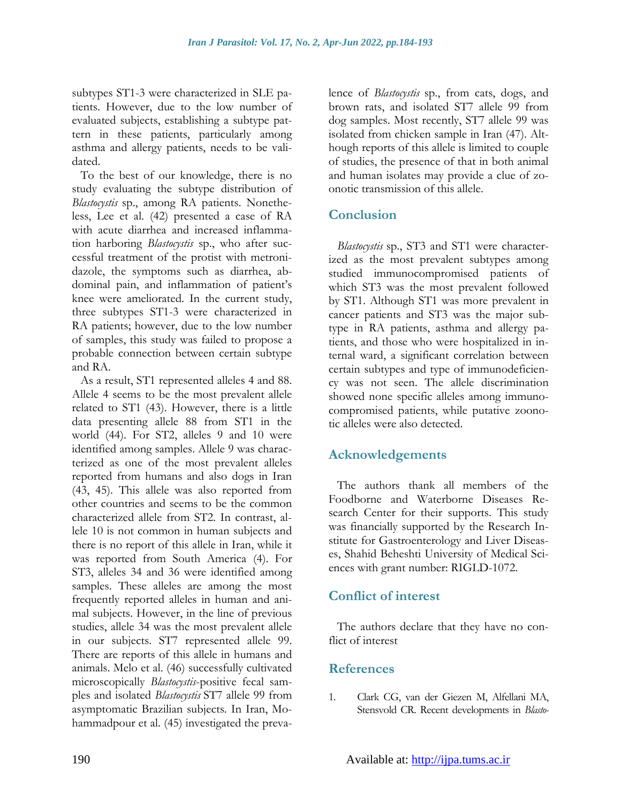subtypes ST1-3 were characterized in SLE patients. However, due to the low number of evaluated subjects, establishing a subtype pattern in these patients, particularly among asthma and allergy patients, needs to be validated.

To the best of our knowledge, there is no study evaluating the subtype distribution of *Blastocystis* sp., among RA patients. Nonetheless, Lee et al. (42) presented a case of RA with acute diarrhea and increased inflammation harboring *Blastocystis* sp., who after successful treatment of the protist with metronidazole, the symptoms such as diarrhea, abdominal pain, and inflammation of patient's knee were ameliorated. In the current study, three subtypes ST1-3 were characterized in RA patients; however, due to the low number of samples, this study was failed to propose a probable connection between certain subtype and RA.

As a result, ST1 represented alleles 4 and 88. Allele 4 seems to be the most prevalent allele related to ST1 (43). However, there is a little data presenting allele 88 from ST1 in the world (44). For ST2, alleles 9 and 10 were identified among samples. Allele 9 was characterized as one of the most prevalent alleles reported from humans and also dogs in Iran (43, 45). This allele was also reported from other countries and seems to be the common characterized allele from ST2. In contrast, allele 10 is not common in human subjects and there is no report of this allele in Iran, while it was reported from South America (4). For ST3, alleles 34 and 36 were identified among samples. These alleles are among the most frequently reported alleles in human and animal subjects. However, in the line of previous studies, allele 34 was the most prevalent allele in our subjects. ST7 represented allele 99. There are reports of this allele in humans and animals. Melo et al. (46) successfully cultivated microscopically *Blastocystis*-positive fecal samples and isolated *Blastocystis* ST7 allele 99 from asymptomatic Brazilian subjects. In Iran, Mohammadpour et al. (45) investigated the prevalence of *Blastocystis* sp., from cats, dogs, and brown rats, and isolated ST7 allele 99 from dog samples. Most recently, ST7 allele 99 was isolated from chicken sample in Iran (47). Although reports of this allele is limited to couple of studies, the presence of that in both animal and human isolates may provide a clue of zoonotic transmission of this allele.

# **Conclusion**

*Blastocystis* sp., ST3 and ST1 were characterized as the most prevalent subtypes among studied immunocompromised patients of which ST3 was the most prevalent followed by ST1. Although ST1 was more prevalent in cancer patients and ST3 was the major subtype in RA patients, asthma and allergy patients, and those who were hospitalized in internal ward, a significant correlation between certain subtypes and type of immunodeficiency was not seen. The allele discrimination showed none specific alleles among immunocompromised patients, while putative zoonotic alleles were also detected.

# **Acknowledgements**

The authors thank all members of the Foodborne and Waterborne Diseases Research Center for their supports. This study was financially supported by the Research Institute for Gastroenterology and Liver Diseases, Shahid Beheshti University of Medical Sciences with grant number: RIGLD-1072.

# **Conflict of interest**

The authors declare that they have no conflict of interest

### **References**

1. Clark CG, van der Giezen M, Alfellani MA, Stensvold CR. Recent developments in *Blasto-*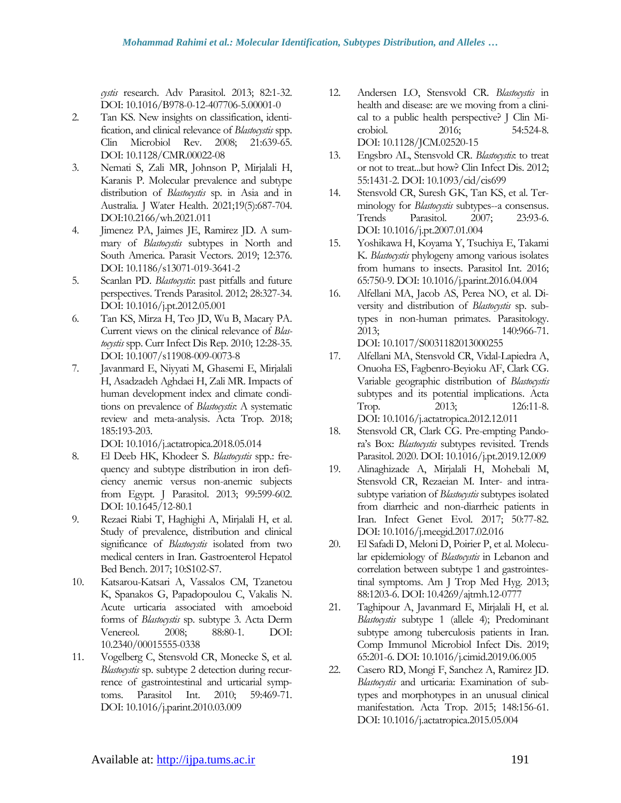*cystis* research. Adv Parasitol. 2013; 82:1-32. DOI: [10.1016/B978-0-12-407706-5.00001-0](https://doi.org/10.1016/b978-0-12-407706-5.00001-0)

- 2. Tan KS. New insights on classification, identification, and clinical relevance of *Blastocystis* spp. Clin Microbiol Rev. 2008; 21:639-65. DOI: [10.1128/CMR.00022-08](https://doi.org/10.1128/cmr.00022-08)
- 3. Nemati S, Zali MR, Johnson P, Mirjalali H, Karanis P. Molecular prevalence and subtype distribution of *Blastocystis* sp. in Asia and in Australia. J Water Health. 2021;19(5):687-704. DOI:10.2166/wh.2021.011
- 4. Jimenez PA, Jaimes JE, Ramirez JD. A summary of *Blastocystis* subtypes in North and South America. Parasit Vectors. 2019; 12:376. DOI: [10.1186/s13071-019-3641-2](https://doi.org/10.1186/s13071-019-3641-2)
- 5. Scanlan PD. *Blastocystis*: past pitfalls and future perspectives. Trends Parasitol. 2012; 28:327-34. DOI: [10.1016/j.pt.2012.05.001](https://doi.org/10.1016/j.pt.2012.05.001)
- 6. Tan KS, Mirza H, Teo JD, Wu B, Macary PA. Current views on the clinical relevance of *Blastocystis* spp. Curr Infect Dis Rep. 2010; 12:28-35. DOI: [10.1007/s11908-009-0073-8](https://doi.org/10.1007/s11908-009-0073-8)
- 7. Javanmard E, Niyyati M, Ghasemi E, Mirjalali H, Asadzadeh Aghdaei H, Zali MR. Impacts of human development index and climate conditions on prevalence of *Blastocystis*: A systematic review and meta-analysis. Acta Trop. 2018; 185:193-203.

DOI: [10.1016/j.actatropica.2018.05.014](https://doi.org/10.1016/j.actatropica.2018.05.014)

- 8. El Deeb HK, Khodeer S. *Blastocystis* spp.: frequency and subtype distribution in iron deficiency anemic versus non-anemic subjects from Egypt. J Parasitol. 2013; 99:599-602. DOI: [10.1645/12-80.1](https://doi.org/10.1645/12-80.1)
- 9. Rezaei Riabi T, Haghighi A, Mirjalali H, et al. Study of prevalence, distribution and clinical significance of *Blastocystis* isolated from two medical centers in Iran. Gastroenterol Hepatol Bed Bench. 2017; 10:S102-S7.
- 10. Katsarou-Katsari A, Vassalos CM, Tzanetou K, Spanakos G, Papadopoulou C, Vakalis N. Acute urticaria associated with amoeboid forms of *Blastocystis* sp. subtype 3. Acta Derm Venereol. 2008; 88:80-1. [DOI:](file:///E:/گوارش%20و%20کبد/SUBMITED/Korean%20BLAST/Microb%20Pathog/gy)  [10.2340/00015555-0338](file:///E:/گوارش%20و%20کبد/SUBMITED/Korean%20BLAST/Microb%20Pathog/gy)
- 11. Vogelberg C, Stensvold CR, Monecke S, et al. *Blastocystis* sp. subtype 2 detection during recurrence of gastrointestinal and urticarial symptoms. Parasitol Int. 2010; 59:469-71. DOI: [10.1016/j.parint.2010.03.009](https://doi.org/10.1016/j.parint.2010.03.009)
- 12. Andersen LO, Stensvold CR. *Blastocystis* in health and disease: are we moving from a clinical to a public health perspective? J Clin Microbiol. 2016; 54:524-8. DOI: [10.1128/JCM.02520-15](https://doi.org/10.1128/jcm.02520-15)
- 13. Engsbro AL, Stensvold CR. *Blastocystis*: to treat or not to treat...but how? Clin Infect Dis. 2012; 55:1431-2. DOI: [10.1093/cid/cis699](https://doi.org/10.1093/cid/cis699)
- 14. Stensvold CR, Suresh GK, Tan KS, et al. Terminology for *Blastocystis* subtypes--a consensus. Trends Parasitol. 2007; 23:93-6. DOI: [10.1016/j.pt.2007.01.004](https://doi.org/10.1016/j.pt.2007.01.004)
- 15. Yoshikawa H, Koyama Y, Tsuchiya E, Takami K. *Blastocystis* phylogeny among various isolates from humans to insects. Parasitol Int. 2016; 65:750-9. DOI: [10.1016/j.parint.2016.04.004](https://doi.org/10.1016/j.parint.2016.04.004)
- 16. Alfellani MA, Jacob AS, Perea NO, et al. Diversity and distribution of *Blastocystis* sp. subtypes in non-human primates. Parasitology. 2013; 140:966-71. DOI: [10.1017/S0031182013000255](https://doi.org/10.1017/s0031182013000255)
- 17. Alfellani MA, Stensvold CR, Vidal-Lapiedra A, Onuoha ES, Fagbenro-Beyioku AF, Clark CG. Variable geographic distribution of *Blastocystis* subtypes and its potential implications. Acta Trop. 2013; 126:11-8. DOI: [10.1016/j.actatropica.2012.12.011](https://doi.org/10.1016/j.actatropica.2012.12.011)
- 18. Stensvold CR, Clark CG. Pre-empting Pandora's Box: *Blastocystis* subtypes revisited. Trends Parasitol. 2020. DOI: [10.1016/j.pt.2019.12.009](https://doi.org/10.1016/j.pt.2019.12.009)
- 19. Alinaghizade A, Mirjalali H, Mohebali M, Stensvold CR, Rezaeian M. Inter- and intrasubtype variation of *Blastocystis* subtypes isolated from diarrheic and non-diarrheic patients in Iran. Infect Genet Evol. 2017; 50:77-82. DOI: [10.1016/j.meegid.2017.02.016](https://doi.org/10.1016/j.meegid.2017.02.016)
- 20. El Safadi D, Meloni D, Poirier P, et al. Molecular epidemiology of *Blastocystis* in Lebanon and correlation between subtype 1 and gastrointestinal symptoms. Am J Trop Med Hyg. 2013; 88:1203-6. DOI: [10.4269/ajtmh.12-0777](https://doi.org/10.4269/ajtmh.12-0777)
- 21. Taghipour A, Javanmard E, Mirjalali H, et al. *Blastocystis* subtype 1 (allele 4); Predominant subtype among tuberculosis patients in Iran. Comp Immunol Microbiol Infect Dis. 2019; 65:201-6. DOI: [10.1016/j.cimid.2019.06.005](https://doi.org/10.1016/j.cimid.2019.06.005)
- 22. Casero RD, Mongi F, Sanchez A, Ramirez JD. *Blastocystis* and urticaria: Examination of subtypes and morphotypes in an unusual clinical manifestation. Acta Trop. 2015; 148:156-61. DOI: [10.1016/j.actatropica.2015.05.004](https://doi.org/10.1016/j.actatropica.2015.05.004)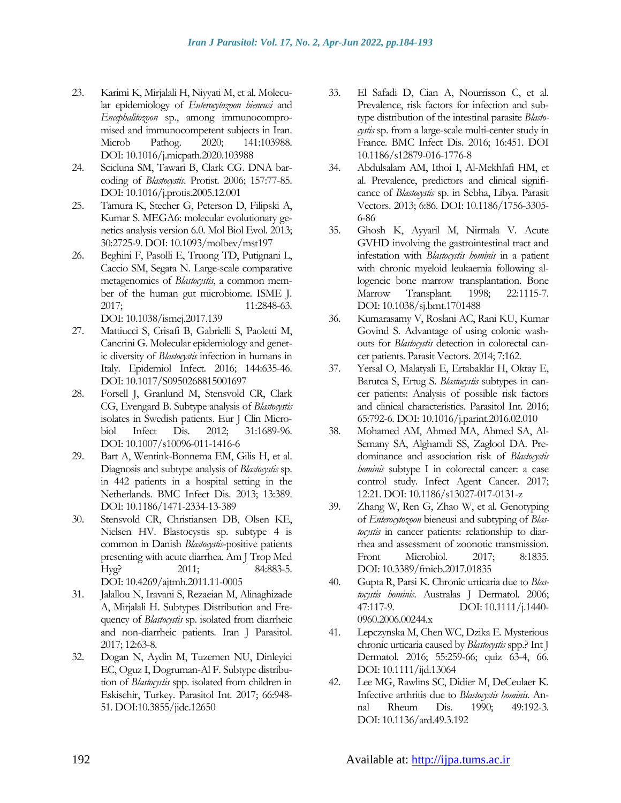- 23. Karimi K, Mirjalali H, Niyyati M, et al. Molecular epidemiology of *Enterocytozoon bieneusi* and *Encephalitozoon* sp., among immunocompromised and immunocompetent subjects in Iran. Microb Pathog. 2020; 141:103988. DOI: [10.1016/j.micpath.2020.103988](https://doi.org/10.1016/j.micpath.2020.103988)
- 24. Scicluna SM, Tawari B, Clark CG. DNA barcoding of *Blastocystis*. Protist. 2006; 157:77-85. DOI: [10.1016/j.protis.2005.12.001](https://doi.org/10.1016/j.protis.2005.12.001)
- 25. Tamura K, Stecher G, Peterson D, Filipski A, Kumar S. MEGA6: molecular evolutionary genetics analysis version 6.0. Mol Biol Evol. 2013; 30:2725-9. DOI: [10.1093/molbev/mst197](https://doi.org/10.1093/molbev/mst197)
- 26. Beghini F, Pasolli E, Truong TD, Putignani L, Caccio SM, Segata N. Large-scale comparative metagenomics of *Blastocystis*, a common member of the human gut microbiome. ISME J. 2017; 11:2848-63. DOI: [10.1038/ismej.2017.139](https://doi.org/10.1038/ismej.2017.139)
- 27. Mattiucci S, Crisafi B, Gabrielli S, Paoletti M, Cancrini G. Molecular epidemiology and genetic diversity of *Blastocystis* infection in humans in Italy. Epidemiol Infect. 2016; 144:635-46. DOI: [10.1017/S0950268815001697](https://doi.org/10.1017/s0950268815001697)
- 28. Forsell J, Granlund M, Stensvold CR, Clark CG, Evengard B. Subtype analysis of *Blastocystis* isolates in Swedish patients. Eur J Clin Microbiol Infect Dis. 2012; 31:1689-96. DOI: [10.1007/s10096-011-1416-6](https://doi.org/10.1007/s10096-011-1416-6)
- 29. Bart A, Wentink-Bonnema EM, Gilis H, et al. Diagnosis and subtype analysis of *Blastocystis* sp. in 442 patients in a hospital setting in the Netherlands. BMC Infect Dis. 2013; 13:389. DOI: [10.1186/1471-2334-13-389](https://doi.org/10.1186/1471-2334-13-389)
- 30. Stensvold CR, Christiansen DB, Olsen KE, Nielsen HV. Blastocystis sp. subtype 4 is common in Danish *Blastocystis*-positive patients presenting with acute diarrhea. Am J Trop Med Hyg? 2011; 84:883-5. DOI: [10.4269/ajtmh.2011.11-0005](https://doi.org/10.4269/ajtmh.2011.11-0005)
- 31. Jalallou N, Iravani S, Rezaeian M, Alinaghizade A, Mirjalali H. Subtypes Distribution and Frequency of *Blastocystis* sp. isolated from diarrheic and non-diarrheic patients. Iran J Parasitol. 2017; 12:63-8.
- 32. Dogan N, Aydin M, Tuzemen NU, Dinleyici EC, Oguz I, Dogruman-Al F. Subtype distribution of *Blastocystis* spp. isolated from children in Eskisehir, Turkey. Parasitol Int. 2017; 66:948- 51[. DOI:10.3855/jidc.12650](file:///E:/گوارش%20و%20کبد/SUBMITED/Korean%20BLAST/Microb%20Pathog/YK)
- 33. El Safadi D, Cian A, Nourrisson C, et al. Prevalence, risk factors for infection and subtype distribution of the intestinal parasite *Blastocystis* sp. from a large-scale multi-center study in France. BMC Infect Dis. 2016; 16:451. DOI [10.1186/s12879-016-1776-8](file:///E:/گوارش%20و%20کبد/SUBMITED/Korean%20BLAST/Microb%20Pathog/JK)
- 34. Abdulsalam AM, Ithoi I, Al-Mekhlafi HM, et al. Prevalence, predictors and clinical significance of *Blastocystis* sp. in Sebha, Libya. Parasit Vectors. 2013; 6:86. DOI: [10.1186/1756-3305-](https://doi.org/10.1186/1756-3305-6-86) [6-86](https://doi.org/10.1186/1756-3305-6-86)
- 35. Ghosh K, Ayyaril M, Nirmala V. Acute GVHD involving the gastrointestinal tract and infestation with *Blastocystis hominis* in a patient with chronic myeloid leukaemia following allogeneic bone marrow transplantation. Bone Marrow Transplant. 1998; 22:1115-7. DOI: [10.1038/sj.bmt.1701488](https://doi.org/10.1038/sj.bmt.1701488)
- 36. Kumarasamy V, Roslani AC, Rani KU, Kumar Govind S. Advantage of using colonic washouts for *Blastocystis* detection in colorectal cancer patients. Parasit Vectors. 2014; 7:162.
- 37. Yersal O, Malatyali E, Ertabaklar H, Oktay E, Barutca S, Ertug S. *Blastocystis* subtypes in cancer patients: Analysis of possible risk factors and clinical characteristics. Parasitol Int. 2016; 65:792-6. DOI: [10.1016/j.parint.2016.02.010](https://doi.org/10.1016/j.parint.2016.02.010)
- 38. Mohamed AM, Ahmed MA, Ahmed SA, Al-Semany SA, Alghamdi SS, Zaglool DA. Predominance and association risk of *Blastocystis hominis* subtype I in colorectal cancer: a case control study. Infect Agent Cancer. 2017; 12:21. DOI: [10.1186/s13027-017-0131-z](https://doi.org/10.1186/s13027-017-0131-z)
- 39. Zhang W, Ren G, Zhao W, et al. Genotyping of *Enterocytozoon* bieneusi and subtyping of *Blastocystis* in cancer patients: relationship to diarrhea and assessment of zoonotic transmission. Front Microbiol. 2017; 8:1835. DOI: [10.3389/fmicb.2017.01835](https://doi.org/10.3389/fmicb.2017.01835)
- 40. Gupta R, Parsi K. Chronic urticaria due to *Blastocystis hominis*. Australas J Dermatol. 2006; 47:117-9. DOI: [10.1111/j.1440-](https://doi.org/10.1111/j.1440-0960.2006.00244.x) [0960.2006.00244.x](https://doi.org/10.1111/j.1440-0960.2006.00244.x)
- 41. Lepczynska M, Chen WC, Dzika E. Mysterious chronic urticaria caused by *Blastocystis* spp.? Int J Dermatol. 2016; 55:259-66; quiz 63-4, 66. DOI: [10.1111/ijd.13064](https://doi.org/10.1111/ijd.13064)
- 42. Lee MG, Rawlins SC, Didier M, DeCeulaer K. Infective arthritis due to *Blastocystis hominis*. Annal Rheum Dis. 1990; 49:192-3. DOI: [10.1136/ard.49.3.192](https://doi.org/10.1136/ard.49.3.192)